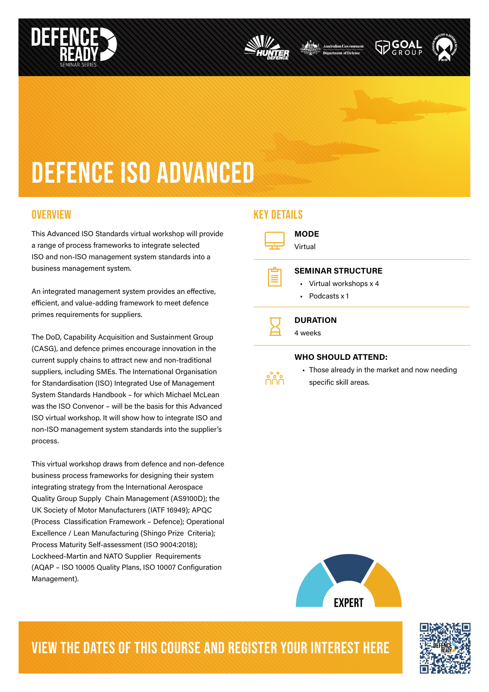





# DEFENCE iso advanced

This Advanced ISO Standards virtual workshop will provide a range of process frameworks to integrate selected ISO and non-ISO management system standards into a business management system.

An integrated management system provides an effective, efficient, and value-adding framework to meet defence primes requirements for suppliers.

The DoD, Capability Acquisition and Sustainment Group (CASG), and defence primes encourage innovation in the current supply chains to attract new and non-traditional suppliers, including SMEs. The International Organisation for Standardisation (ISO) Integrated Use of Management System Standards Handbook – for which Michael McLean was the ISO Convenor – will be the basis for this Advanced ISO virtual workshop. It will show how to integrate ISO and non-ISO management system standards into the supplier's process.

This virtual workshop draws from defence and non-defence business process frameworks for designing their system integrating strategy from the International Aerospace Quality Group Supply Chain Management (AS9100D); the UK Society of Motor Manufacturers (IATF 16949); APQC (Process Classification Framework – Defence); Operational Excellence / Lean Manufacturing (Shingo Prize Criteria); Process Maturity Self-assessment (ISO 9004:2018); Lockheed-Martin and NATO Supplier Requirements (AQAP – ISO 10005 Quality Plans, ISO 10007 Configuration Management).

#### OVERVIEW NEWSLET WAS SERVED FOR A STRUCK WAS ARRESTED FOR A STRUCK OF THE SERVED FOR A STRUCK OF THE SERVED OF THE STRUCK OF THE SERVED OF THE STRUCK OF THE STRUCK OF THE STRUCK OF THE STRUCK OF THE STRUCK OF THE STRUCK OF

 $\Box$ e<br>E MODE Virtual SEMINAR STRUCTURE • Virtual workshops x 4 • Podcasts x 1

 $\overline{\mathbf{z}}$ **DURATION** 4 weeks

#### WHO SHOULD ATTEND:



• Those already in the market and now needing specific skill areas.



## VIEW THE DATES OF THIS COURSE AND REGISTER YOUR INTEREST HERE

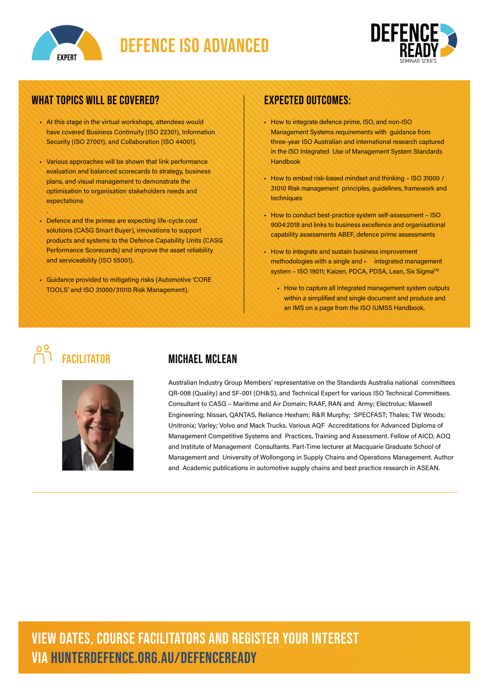



#### WHAT TOPICS WILL BE COVERED?

- At this stage in the virtual workshops, attendees would have covered Business Continuity (ISO 22301), Information Security (ISO 27001), and Collaboration (ISO 44001).
- Various approaches will be shown that link performance evaluation and balanced scorecards to strategy, business plans, and visual management to demonstrate the optimisation to organisation stakeholders needs and expectations
- Defence and the primes are expecting life-cycle cost solutions (CASG Smart Buyer), innovations to support products and systems to the Defence Capability Units (CASG Performance Scorecards) and improve the asset reliability and serviceability (ISO 55001).
- Guidance provided to mitigating risks (Automotive 'CORE TOOLS' and ISO 31000/31010 Risk Management).

#### expected outcomes:

- How to integrate defence prime, ISO, and non-ISO Management Systems requirements with guidance from three-year ISO Australian and international research captured in the ISO Integrated Use of Management System Standards Handbook
- How to embed risk-based mindset and thinking ISO 31000 / 31010 Risk management principles, guidelines, framework and techniques
- How to conduct best-practice system self-assessment ISO 9004:2018 and links to business excellence and organisational capability assessments ABEF, defence prime assessments
- How to integrate and sustain business improvement methodologies with a single and • integrated management system - ISO 19011; Kaizen, PDCA, PDSA, Lean, Six Sigma™
	- How to capture all integrated management system outputs within a simplified and single document and produce and an IMS on a page from the ISO IUMSS Handbook.

.



### **FACILITATOR MICHAEL MCLEAN**

Australian Industry Group Members' representative on the Standards Australia national committees QR-008 (Quality) and SF-001 (OH&S), and Technical Expert for various ISO Technical Committees. Consultant to CASG – Maritime and Air Domain; RAAF, RAN and Army; Electrolux; Maxwell Engineering; Nissan, QANTAS, Reliance Hexham; R&R Murphy; SPECFAST; Thales; TW Woods; Unitronix; Varley; Volvo and Mack Trucks. Various AQF Accreditations for Advanced Diploma of Management Competitive Systems and Practices, Training and Assessment. Fellow of AICD, AOQ and Institute of Management Consultants. Part-Time lecturer at Macquarie Graduate School of Management and University of Wollongong in Supply Chains and Operations Management. Author and Academic publications in automotive supply chains and best practice research in ASEAN.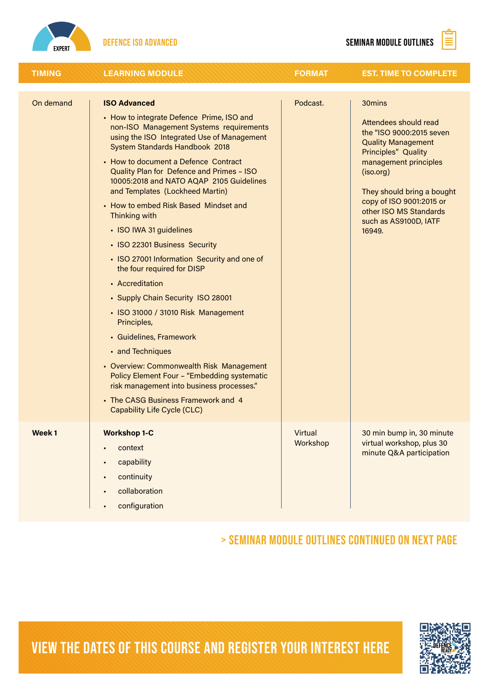



| <b>TIMING</b> | <b>LEARNING MODULE</b>                                                                                                                                                                                                                                                                                                                                                                                                                                                                                                                                                                                                                                                                                                                                                                                                                                                                                                                        | <b>FORMAT</b>              | <b>EST. TIME TO COMPLETE</b>                                                                                                                                                                                                                                                        |
|---------------|-----------------------------------------------------------------------------------------------------------------------------------------------------------------------------------------------------------------------------------------------------------------------------------------------------------------------------------------------------------------------------------------------------------------------------------------------------------------------------------------------------------------------------------------------------------------------------------------------------------------------------------------------------------------------------------------------------------------------------------------------------------------------------------------------------------------------------------------------------------------------------------------------------------------------------------------------|----------------------------|-------------------------------------------------------------------------------------------------------------------------------------------------------------------------------------------------------------------------------------------------------------------------------------|
| On demand     | <b>ISO Advanced</b><br>- How to integrate Defence Prime, ISO and<br>non-ISO Management Systems requirements<br>using the ISO Integrated Use of Management<br>System Standards Handbook 2018<br>- How to document a Defence Contract<br>Quality Plan for Defence and Primes - ISO<br>10005:2018 and NATO AQAP 2105 Guidelines<br>and Templates (Lockheed Martin)<br>- How to embed Risk Based Mindset and<br>Thinking with<br>• ISO IWA 31 guidelines<br>• ISO 22301 Business Security<br>• ISO 27001 Information Security and one of<br>the four required for DISP<br>• Accreditation<br>• Supply Chain Security ISO 28001<br>- ISO 31000 / 31010 Risk Management<br>Principles,<br>· Guidelines, Framework<br>• and Techniques<br>- Overview: Commonwealth Risk Management<br>Policy Element Four - "Embedding systematic<br>risk management into business processes."<br>- The CASG Business Framework and 4<br>Capability Life Cycle (CLC) | Podcast.                   | 30mins<br>Attendees should read<br>the "ISO 9000:2015 seven<br><b>Quality Management</b><br><b>Principles" Quality</b><br>management principles<br>(iso.org)<br>They should bring a bought<br>copy of ISO 9001:2015 or<br>other ISO MS Standards<br>such as AS9100D, IATF<br>16949. |
| Week 1        | <b>Workshop 1-C</b><br>context<br>capability<br>continuity<br>collaboration<br>$\blacksquare$<br>configuration                                                                                                                                                                                                                                                                                                                                                                                                                                                                                                                                                                                                                                                                                                                                                                                                                                | <b>Virtual</b><br>Workshop | 30 min bump in, 30 minute<br>virtual workshop, plus 30<br>minute Q&A participation                                                                                                                                                                                                  |

> seminar module outlines continued on next page



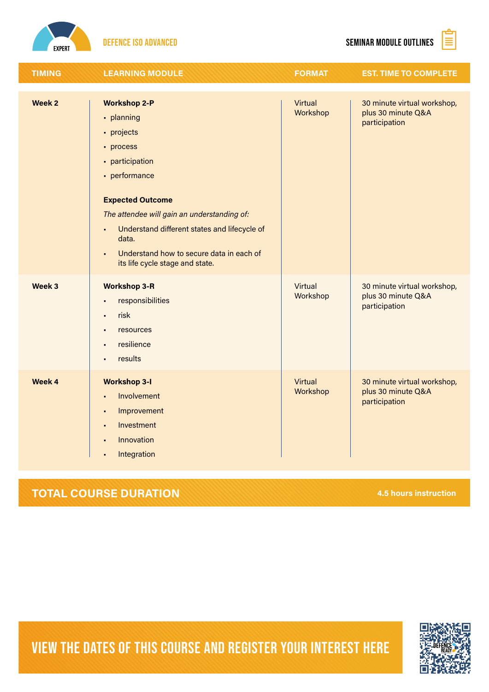



| <b>TIMING</b>     | <b>LEARNING MODULE</b>                                                                                                                                                                                                                                                                                                                    | <b>FORMAT</b>       | <b>EST. TIME TO COMPLETE</b>                                       |
|-------------------|-------------------------------------------------------------------------------------------------------------------------------------------------------------------------------------------------------------------------------------------------------------------------------------------------------------------------------------------|---------------------|--------------------------------------------------------------------|
| Week <sub>2</sub> | <b>Workshop 2-P</b><br>· planning<br>• projects<br>• process<br>• participation<br>• performance<br><b>Expected Outcome</b><br>The attendee will gain an understanding of:<br>Understand different states and lifecycle of<br>ä<br>data.<br>Understand how to secure data in each of<br>$\blacksquare$<br>its life cycle stage and state. | Virtual<br>Workshop | 30 minute virtual workshop,<br>plus 30 minute Q&A<br>participation |
| Week 3            | <b>Workshop 3-R</b><br>responsibilities<br>risk<br>$\blacksquare$<br>resources<br>$\blacksquare$<br>resilience<br>results                                                                                                                                                                                                                 | Virtual<br>Workshop | 30 minute virtual workshop,<br>plus 30 minute Q&A<br>participation |
| Week 4            | <b>Workshop 3-I</b><br>Involvement<br>Improvement<br>$\blacksquare$<br>Investment<br>$\blacksquare$<br>Innovation<br>$\blacksquare$<br>Integration                                                                                                                                                                                        | Virtual<br>Workshop | 30 minute virtual workshop,<br>plus 30 minute Q&A<br>participation |

#### **TOTAL COURSE DURATION** 4.5 hours instruction